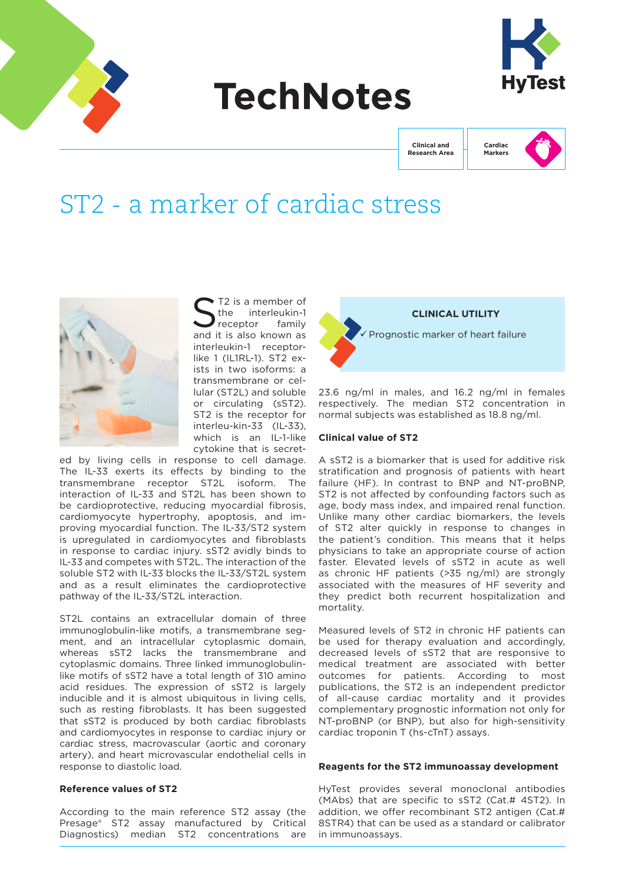

# **TechNotes**



**Clinical and Research Area**



# ST2 - a marker of cardiac stress



 $\sum_{\text{the}}$  T2 is a member of<br> $\sum_{\text{receptor}}$  family interleukin-1 receptor and it is also known as interleukin-1 receptorlike 1 (IL1RL-1). ST2 exists in two isoforms: a transmembrane or cellular (ST2L) and soluble or circulating (sST2). ST2 is the receptor for interleu-kin-33 (IL-33), which is an IL-1-like cytokine that is secret-

ed by living cells in response to cell damage. The IL-33 exerts its effects by binding to the transmembrane receptor ST2L isoform. The interaction of IL-33 and ST2L has been shown to be cardioprotective, reducing myocardial fibrosis, cardiomyocyte hypertrophy, apoptosis, and improving myocardial function. The IL-33/ST2 system is upregulated in cardiomyocytes and fibroblasts in response to cardiac injury. sST2 avidly binds to IL-33 and competes with ST2L. The interaction of the soluble ST2 with IL-33 blocks the IL-33/ST2L system and as a result eliminates the cardioprotective pathway of the IL-33/ST2L interaction.

ST2L contains an extracellular domain of three immunoglobulin-like motifs, a transmembrane segment, and an intracellular cytoplasmic domain, whereas sST2 lacks the transmembrane and cytoplasmic domains. Three linked immunoglobulinlike motifs of sST2 have a total length of 310 amino acid residues. The expression of sST2 is largely inducible and it is almost ubiquitous in living cells. such as resting fibroblasts. It has been suggested that sST2 is produced by both cardiac fibroblasts and cardiomyocytes in response to cardiac injury or cardiac stress, macrovascular (aortic and coronary artery), and heart microvascular endothelial cells in response to diastolic load.

# **Reference values of ST2**

According to the main reference ST2 assay (the Presage® ST2 assay manufactured by Critical Diagnostics) median ST2 concentrations are



23.6 ng/ml in males, and 16.2 ng/ml in females respectively. The median ST2 concentration in normal subjects was established as 18.8 ng/ml.

#### **Clinical value of ST2**

A sST2 is a biomarker that is used for additive risk stratification and prognosis of patients with heart failure (HF). In contrast to BNP and NT-proBNP, ST2 is not affected by confounding factors such as age, body mass index, and impaired renal function. Unlike many other cardiac biomarkers, the levels of ST2 alter quickly in response to changes in the patient's condition. This means that it helps physicians to take an appropriate course of action faster. Elevated levels of sST2 in acute as well as chronic HF patients (>35 ng/ml) are strongly associated with the measures of HF severity and they predict both recurrent hospitalization and mortality.

Measured levels of ST2 in chronic HF patients can be used for therapy evaluation and accordingly, decreased levels of sST2 that are responsive to medical treatment are associated with better outcomes for patients. According to most publications, the ST2 is an independent predictor of all-cause cardiac mortality and it provides complementary prognostic information not only for NT-proBNP (or BNP), but also for high-sensitivity cardiac troponin T (hs-cTnT) assays.

#### **Reagents for the ST2 immunoassay development**

HyTest provides several monoclonal antibodies (MAbs) that are specific to sST2 (Cat.# 4ST2). In addition, we offer recombinant ST2 antigen (Cat.# 8STR4) that can be used as a standard or calibrator in immunoassays.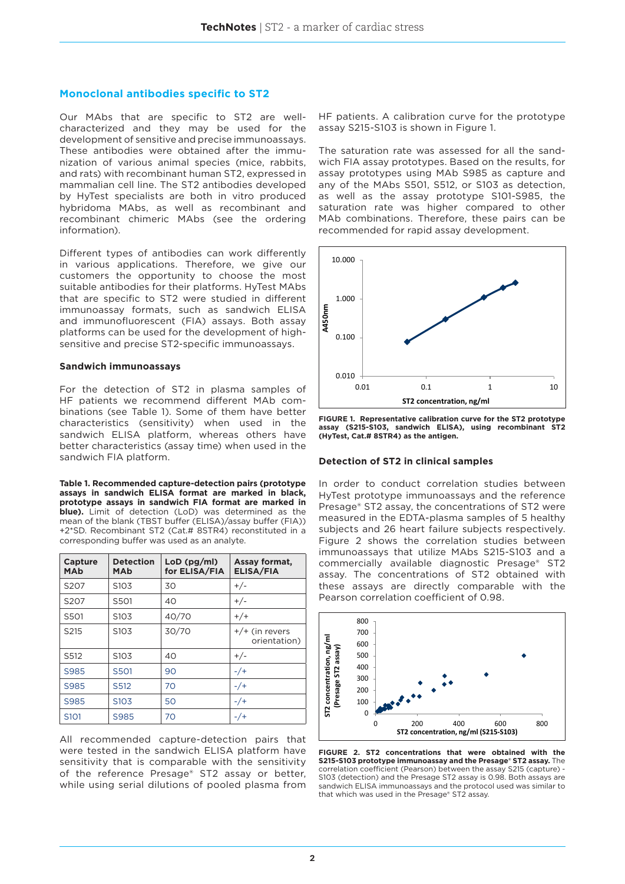# **Monoclonal antibodies specific to ST2**

Our MAbs that are specific to ST2 are wellcharacterized and they may be used for the development of sensitive and precise immunoassays. These antibodies were obtained after the immunization of various animal species (mice, rabbits, and rats) with recombinant human ST2, expressed in mammalian cell line. The ST2 antibodies developed by HyTest specialists are both in vitro produced hybridoma MAbs, as well as recombinant and recombinant chimeric MAbs (see the ordering information).

Different types of antibodies can work differently in various applications. Therefore, we give our customers the opportunity to choose the most suitable antibodies for their platforms. HyTest MAbs that are specific to ST2 were studied in different immunoassay formats, such as sandwich ELISA and immunofluorescent (FIA) assays. Both assay platforms can be used for the development of highsensitive and precise ST2-specific immunoassays.

#### **Sandwich immunoassays**

For the detection of ST2 in plasma samples of HF patients we recommend different MAb combinations (see Table 1). Some of them have better characteristics (sensitivity) when used in the sandwich ELISA platform, whereas others have better characteristics (assay time) when used in the sandwich FIA platform.

**Table 1. Recommended capture-detection pairs (prototype assays in sandwich ELISA format are marked in black, prototype assays in sandwich FIA format are marked in blue).** Limit of detection (LoD) was determined as the mean of the blank (TBST buffer (ELISA)/assay buffer (FIA)) +2\*SD. Recombinant ST2 (Cat.# 8STR4) reconstituted in a corresponding buffer was used as an analyte.

| Capture<br><b>MAb</b> | <b>Detection</b><br>MAb | $LoD$ (pg/ml)<br>for ELISA/FIA | Assay format,<br><b>ELISA/FIA</b> |
|-----------------------|-------------------------|--------------------------------|-----------------------------------|
| S207                  | S <sub>10</sub> 3       | 30                             | $+/-$                             |
| S207                  | S501                    | 40                             | $+/-$                             |
| S501                  | S <sub>10</sub> 3       | 40/70                          | $+/+$                             |
| S <sub>215</sub>      | S <sub>10</sub> 3       | 30/70                          | $+/+$ (in revers<br>orientation)  |
| S512                  | S <sub>10</sub> 3       | 40                             | $+/-$                             |
| S985                  | S501                    | 90                             | $-$ /+                            |
| S985                  | S <sub>512</sub>        | 70                             | $-$ /+                            |
| S985                  | S <sub>10</sub> 3       | 50                             | $-$ /+                            |
| S <sub>101</sub>      | S985                    | 70                             | $-$ /+                            |

All recommended capture-detection pairs that were tested in the sandwich ELISA platform have sensitivity that is comparable with the sensitivity of the reference Presage® ST2 assay or better, while using serial dilutions of pooled plasma from

HF patients. A calibration curve for the prototype assay S215-S103 is shown in Figure 1.

The saturation rate was assessed for all the sandwich FIA assay prototypes. Based on the results, for assay prototypes using MAb S985 as capture and any of the MAbs S501, S512, or S103 as detection, as well as the assay prototype S101-S985, the saturation rate was higher compared to other MAb combinations. Therefore, these pairs can be recommended for rapid assay development.



**FIGURE 1. Representative calibration curve for the ST2 prototype assay (S215-S103, sandwich ELISA), using recombinant ST2 (HyTest, Cat.# 8STR4) as the antigen.**

#### **Detection of ST2 in clinical samples**

In order to conduct correlation studies between HyTest prototype immunoassays and the reference Presage® ST2 assay, the concentrations of ST2 were measured in the EDTA-plasma samples of 5 healthy subjects and 26 heart failure subjects respectively. Figure 2 shows the correlation studies between immunoassays that utilize MAbs S215-S103 and a commercially available diagnostic Presage® ST2 assay. The concentrations of ST2 obtained with these assays are directly comparable with the Pearson correlation coefficient of 0.98.



**FIGURE 2. ST2 concentrations that were obtained with the S215-S103 prototype immunoassay and the Presage® ST2 assay.** The correlation coefficient (Pearson) between the assay S215 (capture) - S103 (detection) and the Presage ST2 assay is 0.98. Both assays are sandwich ELISA immunoassays and the protocol used was similar to that which was used in the Presage® ST2 assay.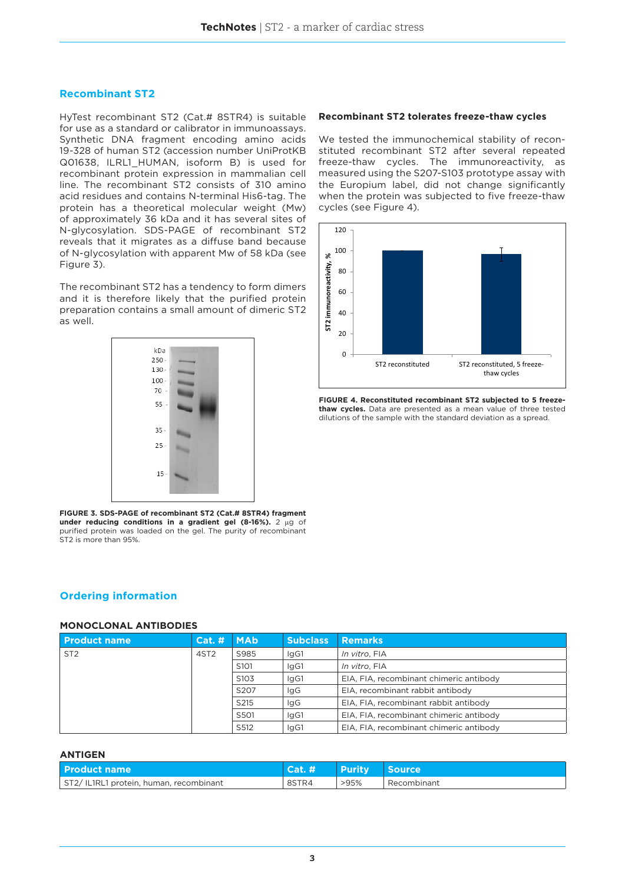# **Recombinant ST2**

HyTest recombinant ST2 (Cat.# 8STR4) is suitable for use as a standard or calibrator in immunoassays. Synthetic DNA fragment encoding amino acids 19-328 of human ST2 (accession number UniProtKB Q01638, ILRL1\_HUMAN, isoform B) is used for recombinant protein expression in mammalian cell line. The recombinant ST2 consists of 310 amino acid residues and contains N-terminal His6-tag. The protein has a theoretical molecular weight (Mw) of approximately 36 kDa and it has several sites of N-glycosylation. SDS-PAGE of recombinant ST2 reveals that it migrates as a diffuse band because of N-glycosylation with apparent Mw of 58 kDa (see Figure 3).

The recombinant ST2 has a tendency to form dimers and it is therefore likely that the purified protein preparation contains a small amount of dimeric ST2 as well.



**FIGURE 3. SDS-PAGE of recombinant ST2 (Cat.# 8STR4) fragment under reducing conditions in a gradient gel (8-16%).** 2 µg of purified protein was loaded on the gel. The purity of recombinant ST2 is more than 95%.

# **Ordering information**

### **MONOCLONAL ANTIBODIES**

| l Product name  | Cat. H           | <b>MAb</b>       | <b>Subclass</b> | <b>Remarks</b>                          |
|-----------------|------------------|------------------|-----------------|-----------------------------------------|
| ST <sub>2</sub> | 4ST <sub>2</sub> | S985             | lgG1            | In vitro, FIA                           |
|                 |                  | S <sub>101</sub> | lgG1            | In vitro, FIA                           |
|                 |                  | S <sub>103</sub> | lgG1            | EIA, FIA, recombinant chimeric antibody |
|                 |                  | S207             | lgG             | EIA, recombinant rabbit antibody        |
|                 |                  | S215             | lgG             | EIA, FIA, recombinant rabbit antibody   |
|                 |                  | S501             | lgG1            | EIA, FIA, recombinant chimeric antibody |
|                 |                  | S512             | lgG1            | EIA, FIA, recombinant chimeric antibody |

#### **ANTIGEN**

| Product name                           | Cat. # | <b>Purity</b> | ∣ Source    |
|----------------------------------------|--------|---------------|-------------|
| ST2/IL1RL1 protein, human, recombinant | 8STR4  | >95%          | Recombinant |

#### **Recombinant ST2 tolerates freeze-thaw cycles**

We tested the immunochemical stability of reconstituted recombinant ST2 after several repeated freeze-thaw cycles. The immunoreactivity, as measured using the S207-S103 prototype assay with the Europium label, did not change significantly when the protein was subjected to five freeze-thaw cycles (see Figure 4).



**FIGURE 4. Reconstituted recombinant ST2 subjected to 5 freezethaw cycles.** Data are presented as a mean value of three tested dilutions of the sample with the standard deviation as a spread.